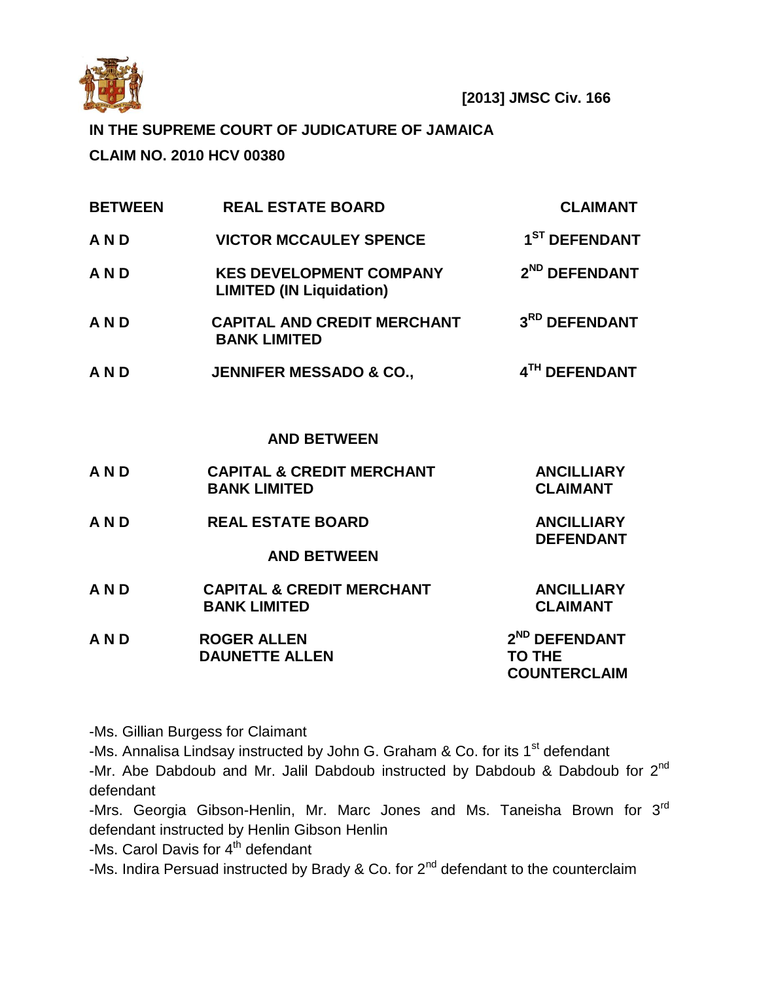

# **IN THE SUPREME COURT OF JUDICATURE OF JAMAICA**

**CLAIM NO. 2010 HCV 00380**

| <b>BETWEEN</b> | <b>REAL ESTATE BOARD</b>                                          | <b>CLAIMANT</b>                                                   |
|----------------|-------------------------------------------------------------------|-------------------------------------------------------------------|
| <b>AND</b>     | <b>VICTOR MCCAULEY SPENCE</b>                                     | 1 <sup>ST</sup> DEFENDANT                                         |
| <b>AND</b>     | <b>KES DEVELOPMENT COMPANY</b><br><b>LIMITED (IN Liquidation)</b> | 2 <sup>ND</sup> DEFENDANT                                         |
| <b>AND</b>     | <b>CAPITAL AND CREDIT MERCHANT</b><br><b>BANK LIMITED</b>         | 3RD DEFENDANT                                                     |
| <b>AND</b>     | <b>JENNIFER MESSADO &amp; CO.,</b>                                | 4TH DEFENDANT                                                     |
|                |                                                                   |                                                                   |
|                | <b>AND BETWEEN</b>                                                |                                                                   |
| <b>AND</b>     | <b>CAPITAL &amp; CREDIT MERCHANT</b><br><b>BANK LIMITED</b>       | <b>ANCILLIARY</b><br><b>CLAIMANT</b>                              |
| <b>AND</b>     | <b>REAL ESTATE BOARD</b>                                          | <b>ANCILLIARY</b><br><b>DEFENDANT</b>                             |
|                | <b>AND BETWEEN</b>                                                |                                                                   |
| <b>AND</b>     | <b>CAPITAL &amp; CREDIT MERCHANT</b><br><b>BANK LIMITED</b>       | <b>ANCILLIARY</b><br><b>CLAIMANT</b>                              |
| <b>AND</b>     | <b>ROGER ALLEN</b><br><b>DAUNETTE ALLEN</b>                       | 2 <sup>ND</sup> DEFENDANT<br><b>TO THE</b><br><b>COUNTERCLAIM</b> |

-Ms. Gillian Burgess for Claimant

-Ms. Annalisa Lindsay instructed by John G. Graham & Co. for its  $1<sup>st</sup>$  defendant

-Mr. Abe Dabdoub and Mr. Jalil Dabdoub instructed by Dabdoub & Dabdoub for 2<sup>nd</sup> defendant

-Mrs. Georgia Gibson-Henlin, Mr. Marc Jones and Ms. Taneisha Brown for 3<sup>rd</sup> defendant instructed by Henlin Gibson Henlin

-Ms. Carol Davis for 4<sup>th</sup> defendant

-Ms. Indira Persuad instructed by Brady & Co. for  $2^{nd}$  defendant to the counterclaim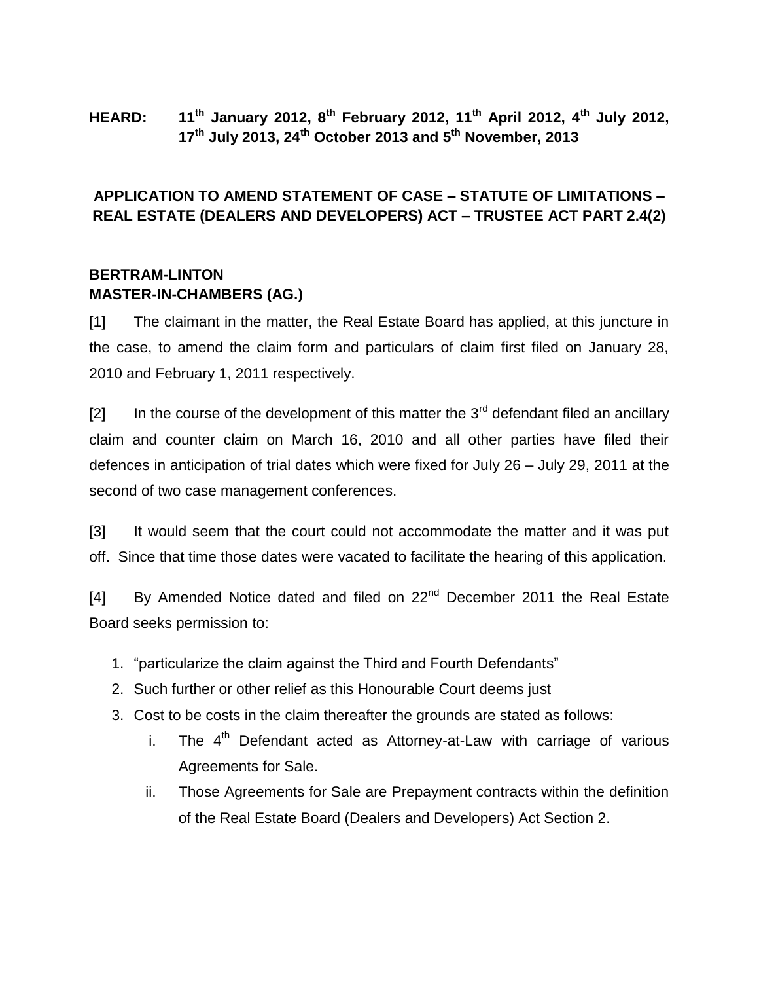**HEARD: 11th January 2012, 8th February 2012, 11th April 2012, 4th July 2012, 17th July 2013, 24th October 2013 and 5th November, 2013**

### **APPLICATION TO AMEND STATEMENT OF CASE – STATUTE OF LIMITATIONS – REAL ESTATE (DEALERS AND DEVELOPERS) ACT – TRUSTEE ACT PART 2.4(2)**

### **BERTRAM-LINTON MASTER-IN-CHAMBERS (AG.)**

[1] The claimant in the matter, the Real Estate Board has applied, at this juncture in the case, to amend the claim form and particulars of claim first filed on January 28, 2010 and February 1, 2011 respectively.

 $[2]$  In the course of the development of this matter the 3<sup>rd</sup> defendant filed an ancillary claim and counter claim on March 16, 2010 and all other parties have filed their defences in anticipation of trial dates which were fixed for July 26 – July 29, 2011 at the second of two case management conferences.

[3] It would seem that the court could not accommodate the matter and it was put off. Since that time those dates were vacated to facilitate the hearing of this application.

[4] By Amended Notice dated and filed on  $22<sup>nd</sup>$  December 2011 the Real Estate Board seeks permission to:

- 1. "particularize the claim against the Third and Fourth Defendants"
- 2. Such further or other relief as this Honourable Court deems just
- 3. Cost to be costs in the claim thereafter the grounds are stated as follows:
	- i. The  $4<sup>th</sup>$  Defendant acted as Attorney-at-Law with carriage of various Agreements for Sale.
	- ii. Those Agreements for Sale are Prepayment contracts within the definition of the Real Estate Board (Dealers and Developers) Act Section 2.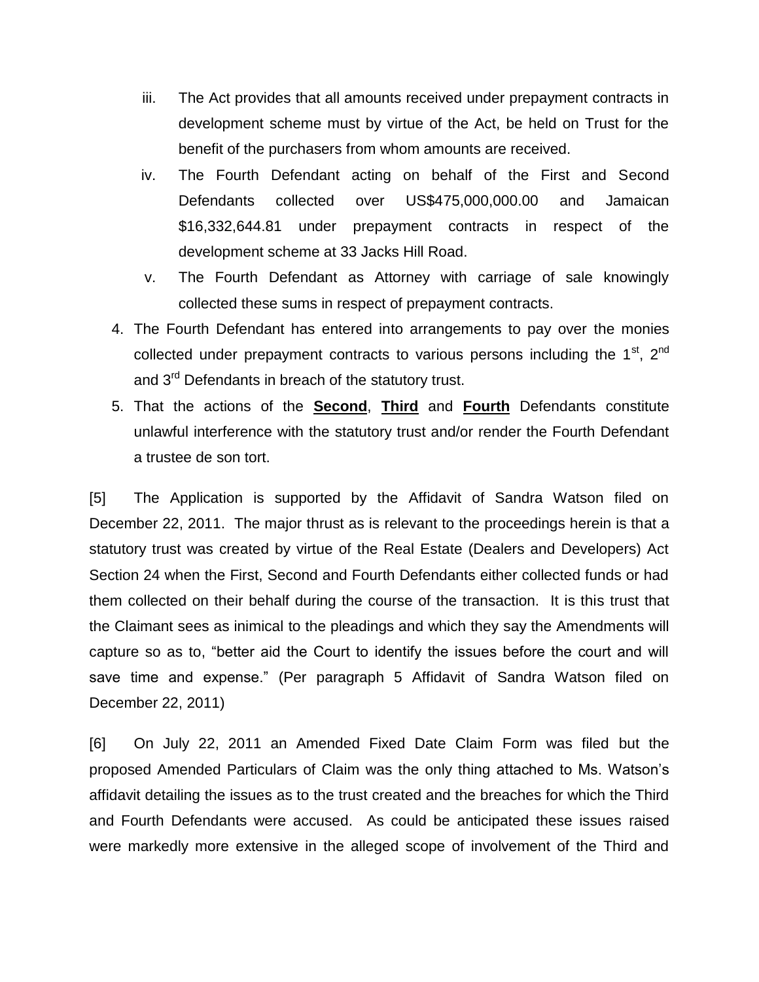- iii. The Act provides that all amounts received under prepayment contracts in development scheme must by virtue of the Act, be held on Trust for the benefit of the purchasers from whom amounts are received.
- iv. The Fourth Defendant acting on behalf of the First and Second Defendants collected over US\$475,000,000.00 and Jamaican \$16,332,644.81 under prepayment contracts in respect of the development scheme at 33 Jacks Hill Road.
- v. The Fourth Defendant as Attorney with carriage of sale knowingly collected these sums in respect of prepayment contracts.
- 4. The Fourth Defendant has entered into arrangements to pay over the monies collected under prepayment contracts to various persons including the  $1<sup>st</sup>$ ,  $2<sup>nd</sup>$ and 3<sup>rd</sup> Defendants in breach of the statutory trust.
- 5. That the actions of the **Second**, **Third** and **Fourth** Defendants constitute unlawful interference with the statutory trust and/or render the Fourth Defendant a trustee de son tort.

[5] The Application is supported by the Affidavit of Sandra Watson filed on December 22, 2011. The major thrust as is relevant to the proceedings herein is that a statutory trust was created by virtue of the Real Estate (Dealers and Developers) Act Section 24 when the First, Second and Fourth Defendants either collected funds or had them collected on their behalf during the course of the transaction. It is this trust that the Claimant sees as inimical to the pleadings and which they say the Amendments will capture so as to, "better aid the Court to identify the issues before the court and will save time and expense." (Per paragraph 5 Affidavit of Sandra Watson filed on December 22, 2011)

[6] On July 22, 2011 an Amended Fixed Date Claim Form was filed but the proposed Amended Particulars of Claim was the only thing attached to Ms. Watson's affidavit detailing the issues as to the trust created and the breaches for which the Third and Fourth Defendants were accused. As could be anticipated these issues raised were markedly more extensive in the alleged scope of involvement of the Third and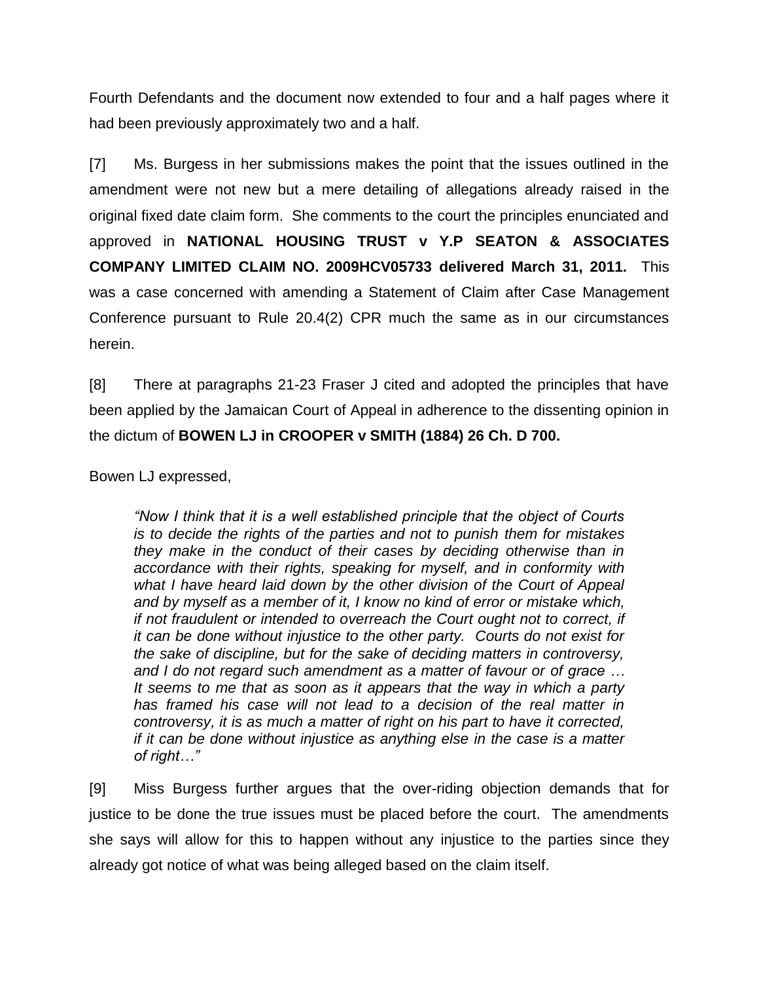Fourth Defendants and the document now extended to four and a half pages where it had been previously approximately two and a half.

[7] Ms. Burgess in her submissions makes the point that the issues outlined in the amendment were not new but a mere detailing of allegations already raised in the original fixed date claim form. She comments to the court the principles enunciated and approved in **NATIONAL HOUSING TRUST v Y.P SEATON & ASSOCIATES COMPANY LIMITED CLAIM NO. 2009HCV05733 delivered March 31, 2011.** This was a case concerned with amending a Statement of Claim after Case Management Conference pursuant to Rule 20.4(2) CPR much the same as in our circumstances herein.

[8] There at paragraphs 21-23 Fraser J cited and adopted the principles that have been applied by the Jamaican Court of Appeal in adherence to the dissenting opinion in the dictum of **BOWEN LJ in CROOPER v SMITH (1884) 26 Ch. D 700.**

Bowen LJ expressed,

*"Now I think that it is a well established principle that the object of Courts is to decide the rights of the parties and not to punish them for mistakes they make in the conduct of their cases by deciding otherwise than in accordance with their rights, speaking for myself, and in conformity with what I have heard laid down by the other division of the Court of Appeal and by myself as a member of it, I know no kind of error or mistake which, if not fraudulent or intended to overreach the Court ought not to correct, if it can be done without injustice to the other party. Courts do not exist for the sake of discipline, but for the sake of deciding matters in controversy, and I do not regard such amendment as a matter of favour or of grace … It seems to me that as soon as it appears that the way in which a party has framed his case will not lead to a decision of the real matter in controversy, it is as much a matter of right on his part to have it corrected, if it can be done without injustice as anything else in the case is a matter of right…"*

[9] Miss Burgess further argues that the over-riding objection demands that for justice to be done the true issues must be placed before the court. The amendments she says will allow for this to happen without any injustice to the parties since they already got notice of what was being alleged based on the claim itself.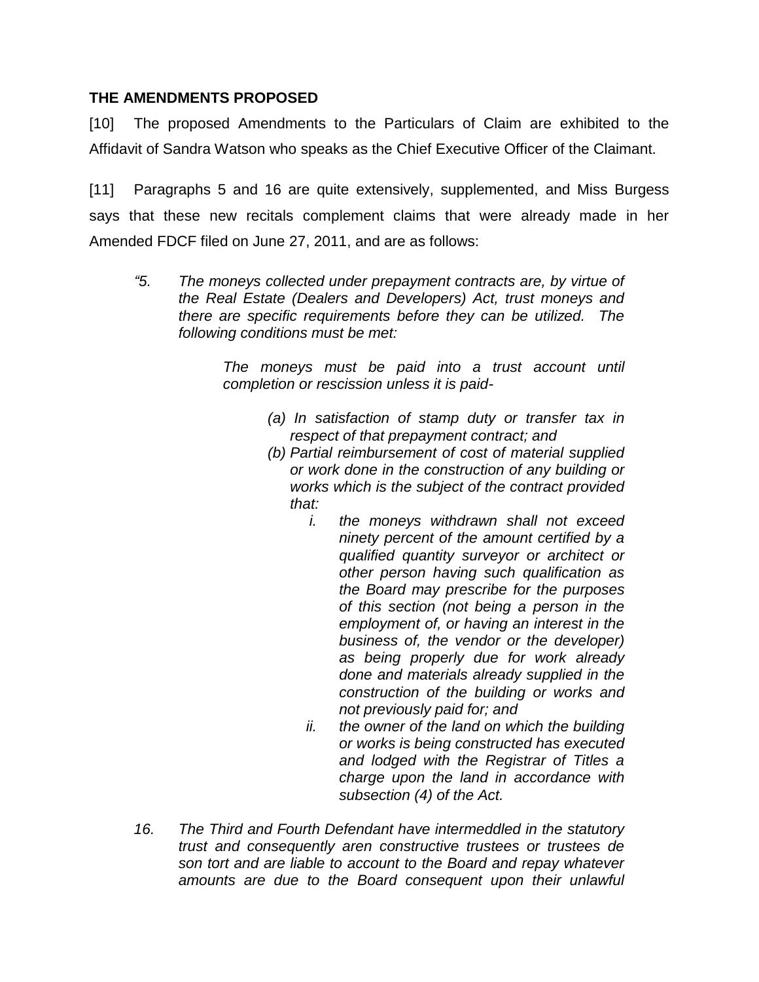#### **THE AMENDMENTS PROPOSED**

[10] The proposed Amendments to the Particulars of Claim are exhibited to the Affidavit of Sandra Watson who speaks as the Chief Executive Officer of the Claimant.

[11] Paragraphs 5 and 16 are quite extensively, supplemented, and Miss Burgess says that these new recitals complement claims that were already made in her Amended FDCF filed on June 27, 2011, and are as follows:

*"5. The moneys collected under prepayment contracts are, by virtue of the Real Estate (Dealers and Developers) Act, trust moneys and there are specific requirements before they can be utilized. The following conditions must be met:*

> *The moneys must be paid into a trust account until completion or rescission unless it is paid-*

- *(a) In satisfaction of stamp duty or transfer tax in respect of that prepayment contract; and*
- *(b) Partial reimbursement of cost of material supplied or work done in the construction of any building or works which is the subject of the contract provided that:*
	- *i. the moneys withdrawn shall not exceed ninety percent of the amount certified by a qualified quantity surveyor or architect or other person having such qualification as the Board may prescribe for the purposes of this section (not being a person in the employment of, or having an interest in the business of, the vendor or the developer) as being properly due for work already done and materials already supplied in the construction of the building or works and not previously paid for; and*
	- *ii. the owner of the land on which the building or works is being constructed has executed and lodged with the Registrar of Titles a charge upon the land in accordance with subsection (4) of the Act.*
- *16. The Third and Fourth Defendant have intermeddled in the statutory trust and consequently aren constructive trustees or trustees de son tort and are liable to account to the Board and repay whatever amounts are due to the Board consequent upon their unlawful*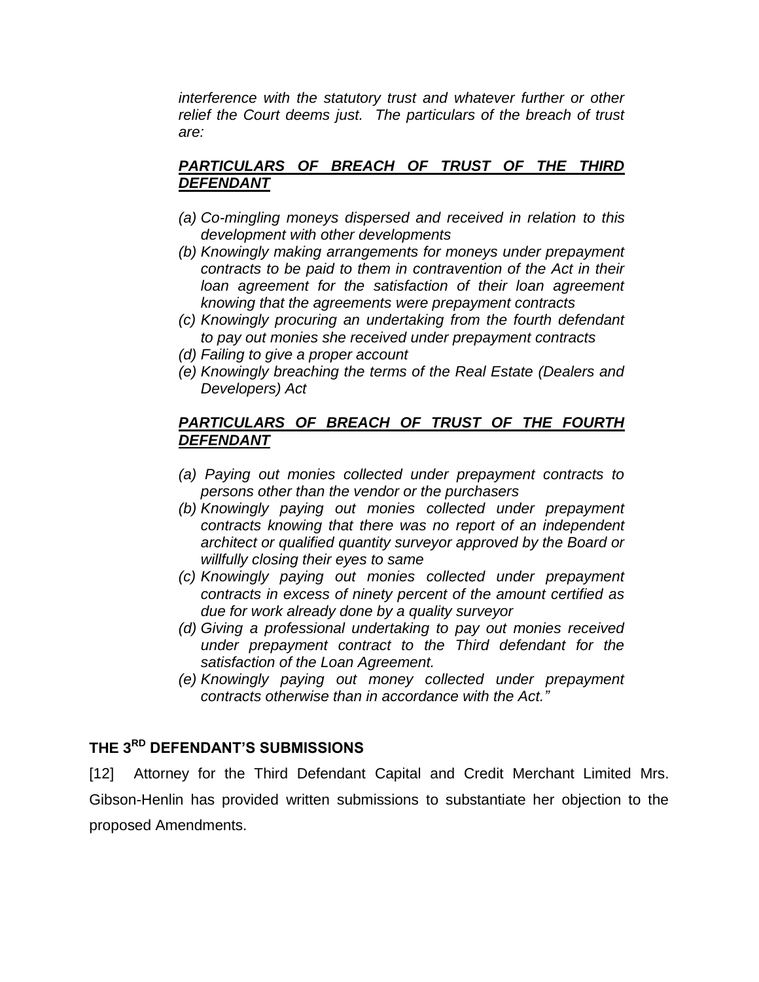*interference with the statutory trust and whatever further or other relief the Court deems just. The particulars of the breach of trust are:*

### *PARTICULARS OF BREACH OF TRUST OF THE THIRD DEFENDANT*

- *(a) Co-mingling moneys dispersed and received in relation to this development with other developments*
- *(b) Knowingly making arrangements for moneys under prepayment contracts to be paid to them in contravention of the Act in their*  loan agreement for the satisfaction of their loan agreement *knowing that the agreements were prepayment contracts*
- *(c) Knowingly procuring an undertaking from the fourth defendant to pay out monies she received under prepayment contracts*
- *(d) Failing to give a proper account*
- *(e) Knowingly breaching the terms of the Real Estate (Dealers and Developers) Act*

### *PARTICULARS OF BREACH OF TRUST OF THE FOURTH DEFENDANT*

- *(a) Paying out monies collected under prepayment contracts to persons other than the vendor or the purchasers*
- *(b) Knowingly paying out monies collected under prepayment contracts knowing that there was no report of an independent architect or qualified quantity surveyor approved by the Board or willfully closing their eyes to same*
- *(c) Knowingly paying out monies collected under prepayment contracts in excess of ninety percent of the amount certified as due for work already done by a quality surveyor*
- *(d) Giving a professional undertaking to pay out monies received under prepayment contract to the Third defendant for the satisfaction of the Loan Agreement.*
- *(e) Knowingly paying out money collected under prepayment contracts otherwise than in accordance with the Act."*

# **THE 3RD DEFENDANT'S SUBMISSIONS**

[12] Attorney for the Third Defendant Capital and Credit Merchant Limited Mrs. Gibson-Henlin has provided written submissions to substantiate her objection to the proposed Amendments.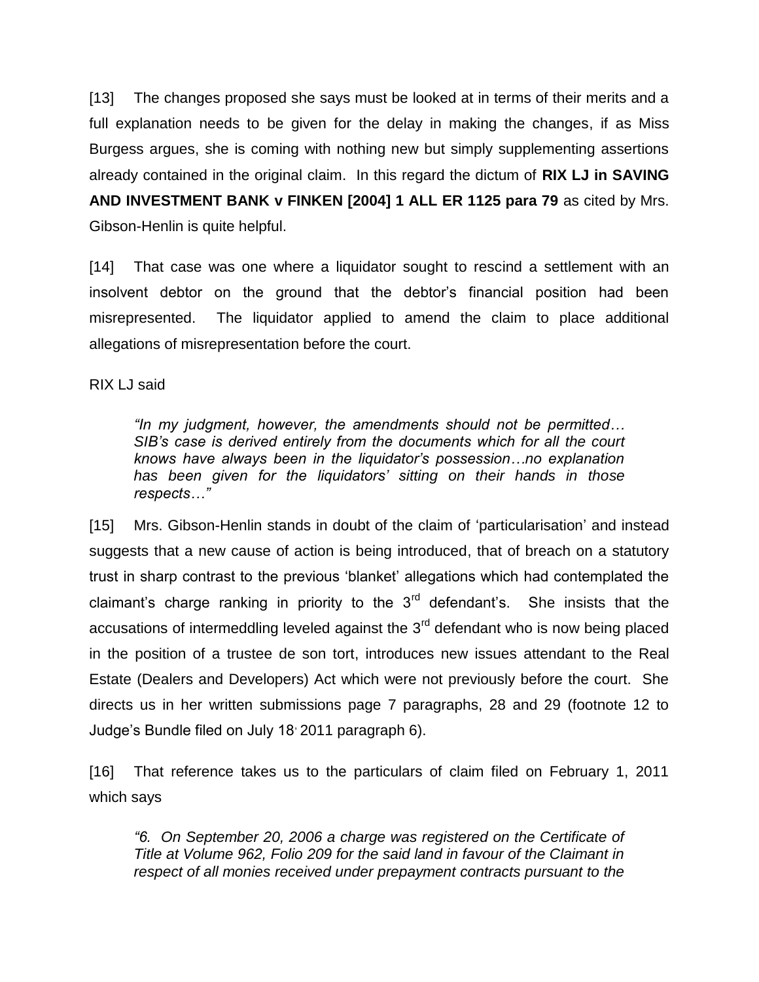[13] The changes proposed she says must be looked at in terms of their merits and a full explanation needs to be given for the delay in making the changes, if as Miss Burgess argues, she is coming with nothing new but simply supplementing assertions already contained in the original claim. In this regard the dictum of **RIX LJ in SAVING AND INVESTMENT BANK v FINKEN [2004] 1 ALL ER 1125 para 79** as cited by Mrs. Gibson-Henlin is quite helpful.

[14] That case was one where a liquidator sought to rescind a settlement with an insolvent debtor on the ground that the debtor's financial position had been misrepresented. The liquidator applied to amend the claim to place additional allegations of misrepresentation before the court.

RIX LJ said

*"In my judgment, however, the amendments should not be permitted… SIB's case is derived entirely from the documents which for all the court knows have always been in the liquidator's possession…no explanation has been given for the liquidators' sitting on their hands in those respects…"*

[15] Mrs. Gibson-Henlin stands in doubt of the claim of 'particularisation' and instead suggests that a new cause of action is being introduced, that of breach on a statutory trust in sharp contrast to the previous 'blanket' allegations which had contemplated the claimant's charge ranking in priority to the  $3<sup>rd</sup>$  defendant's. She insists that the accusations of intermeddling leveled against the  $3<sup>rd</sup>$  defendant who is now being placed in the position of a trustee de son tort, introduces new issues attendant to the Real Estate (Dealers and Developers) Act which were not previously before the court. She directs us in her written submissions page 7 paragraphs, 28 and 29 (footnote 12 to Judge's Bundle filed on July 18, 2011 paragraph 6).

[16] That reference takes us to the particulars of claim filed on February 1, 2011 which says

*"6. On September 20, 2006 a charge was registered on the Certificate of Title at Volume 962, Folio 209 for the said land in favour of the Claimant in respect of all monies received under prepayment contracts pursuant to the*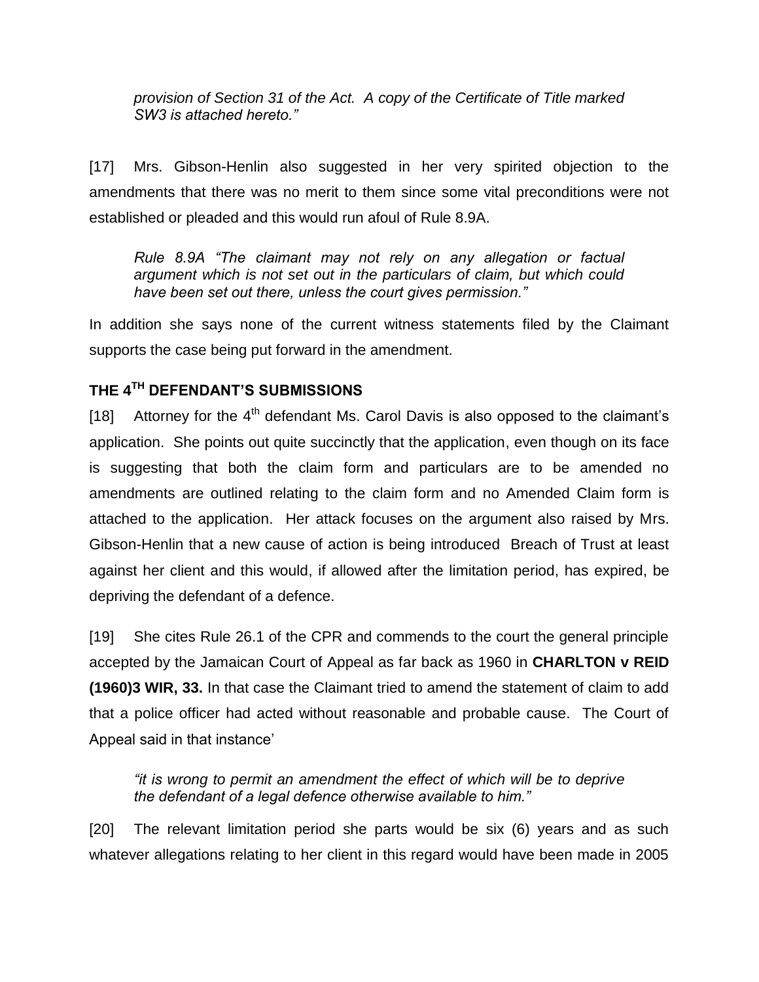*provision of Section 31 of the Act. A copy of the Certificate of Title marked SW3 is attached hereto."*

[17] Mrs. Gibson-Henlin also suggested in her very spirited objection to the amendments that there was no merit to them since some vital preconditions were not established or pleaded and this would run afoul of Rule 8.9A.

*Rule 8.9A "The claimant may not rely on any allegation or factual argument which is not set out in the particulars of claim, but which could have been set out there, unless the court gives permission."*

In addition she says none of the current witness statements filed by the Claimant supports the case being put forward in the amendment.

## **THE 4TH DEFENDANT'S SUBMISSIONS**

[18] Attorney for the  $4<sup>th</sup>$  defendant Ms. Carol Davis is also opposed to the claimant's application. She points out quite succinctly that the application, even though on its face is suggesting that both the claim form and particulars are to be amended no amendments are outlined relating to the claim form and no Amended Claim form is attached to the application. Her attack focuses on the argument also raised by Mrs. Gibson-Henlin that a new cause of action is being introduced Breach of Trust at least against her client and this would, if allowed after the limitation period, has expired, be depriving the defendant of a defence.

[19] She cites Rule 26.1 of the CPR and commends to the court the general principle accepted by the Jamaican Court of Appeal as far back as 1960 in **CHARLTON v REID (1960)3 WIR, 33.** In that case the Claimant tried to amend the statement of claim to add that a police officer had acted without reasonable and probable cause. The Court of Appeal said in that instance'

*"it is wrong to permit an amendment the effect of which will be to deprive the defendant of a legal defence otherwise available to him."*

[20] The relevant limitation period she parts would be six (6) years and as such whatever allegations relating to her client in this regard would have been made in 2005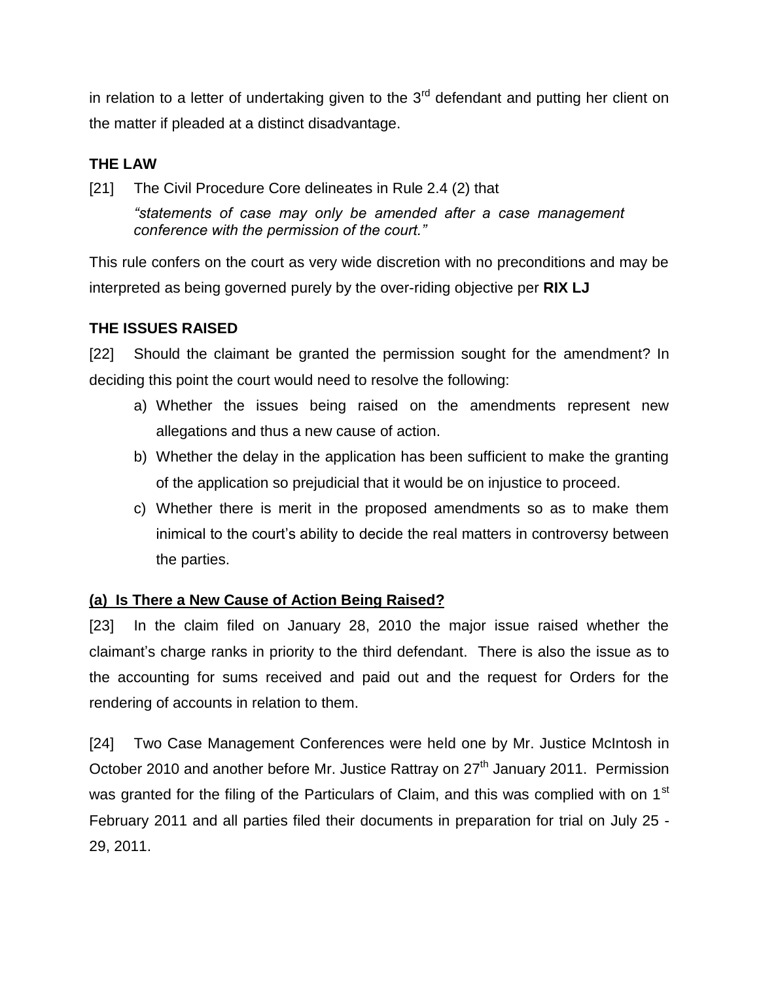in relation to a letter of undertaking given to the  $3<sup>rd</sup>$  defendant and putting her client on the matter if pleaded at a distinct disadvantage.

## **THE LAW**

[21] The Civil Procedure Core delineates in Rule 2.4 (2) that

*"statements of case may only be amended after a case management conference with the permission of the court."*

This rule confers on the court as very wide discretion with no preconditions and may be interpreted as being governed purely by the over-riding objective per **RIX LJ**

### **THE ISSUES RAISED**

[22] Should the claimant be granted the permission sought for the amendment? In deciding this point the court would need to resolve the following:

- a) Whether the issues being raised on the amendments represent new allegations and thus a new cause of action.
- b) Whether the delay in the application has been sufficient to make the granting of the application so prejudicial that it would be on injustice to proceed.
- c) Whether there is merit in the proposed amendments so as to make them inimical to the court's ability to decide the real matters in controversy between the parties.

### **(a) Is There a New Cause of Action Being Raised?**

[23] In the claim filed on January 28, 2010 the major issue raised whether the claimant's charge ranks in priority to the third defendant. There is also the issue as to the accounting for sums received and paid out and the request for Orders for the rendering of accounts in relation to them.

[24] Two Case Management Conferences were held one by Mr. Justice McIntosh in October 2010 and another before Mr. Justice Rattray on 27<sup>th</sup> January 2011. Permission was granted for the filing of the Particulars of Claim, and this was complied with on 1<sup>st</sup> February 2011 and all parties filed their documents in preparation for trial on July 25 - 29, 2011.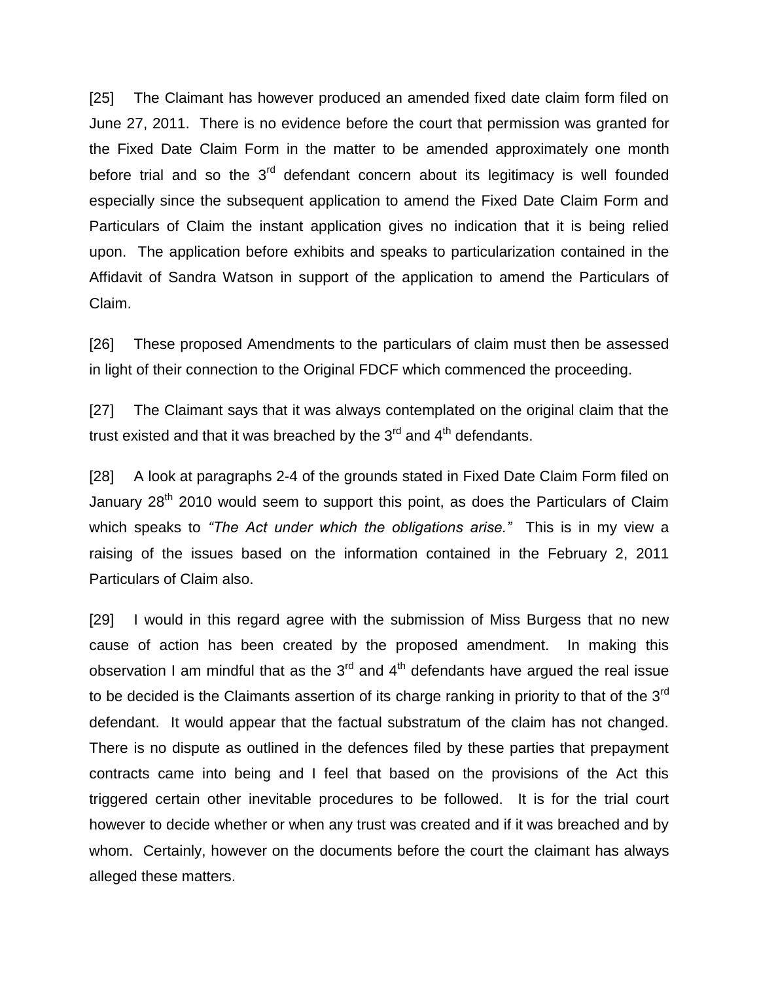[25] The Claimant has however produced an amended fixed date claim form filed on June 27, 2011. There is no evidence before the court that permission was granted for the Fixed Date Claim Form in the matter to be amended approximately one month before trial and so the  $3<sup>rd</sup>$  defendant concern about its legitimacy is well founded especially since the subsequent application to amend the Fixed Date Claim Form and Particulars of Claim the instant application gives no indication that it is being relied upon. The application before exhibits and speaks to particularization contained in the Affidavit of Sandra Watson in support of the application to amend the Particulars of Claim.

[26] These proposed Amendments to the particulars of claim must then be assessed in light of their connection to the Original FDCF which commenced the proceeding.

[27] The Claimant says that it was always contemplated on the original claim that the trust existed and that it was breached by the 3<sup>rd</sup> and 4<sup>th</sup> defendants.

[28] A look at paragraphs 2-4 of the grounds stated in Fixed Date Claim Form filed on January 28<sup>th</sup> 2010 would seem to support this point, as does the Particulars of Claim which speaks to *"The Act under which the obligations arise."* This is in my view a raising of the issues based on the information contained in the February 2, 2011 Particulars of Claim also.

[29] I would in this regard agree with the submission of Miss Burgess that no new cause of action has been created by the proposed amendment. In making this observation I am mindful that as the  $3<sup>rd</sup>$  and  $4<sup>th</sup>$  defendants have argued the real issue to be decided is the Claimants assertion of its charge ranking in priority to that of the 3<sup>rd</sup> defendant. It would appear that the factual substratum of the claim has not changed. There is no dispute as outlined in the defences filed by these parties that prepayment contracts came into being and I feel that based on the provisions of the Act this triggered certain other inevitable procedures to be followed. It is for the trial court however to decide whether or when any trust was created and if it was breached and by whom. Certainly, however on the documents before the court the claimant has always alleged these matters.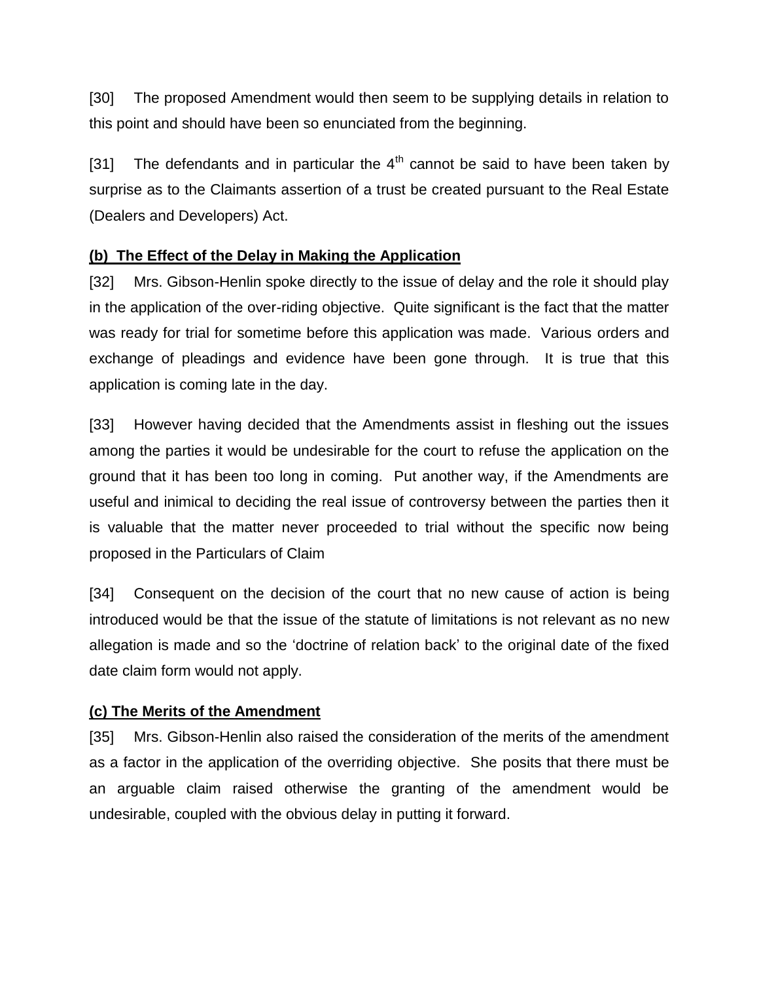[30] The proposed Amendment would then seem to be supplying details in relation to this point and should have been so enunciated from the beginning.

[31] The defendants and in particular the  $4<sup>th</sup>$  cannot be said to have been taken by surprise as to the Claimants assertion of a trust be created pursuant to the Real Estate (Dealers and Developers) Act.

### **(b) The Effect of the Delay in Making the Application**

[32] Mrs. Gibson-Henlin spoke directly to the issue of delay and the role it should play in the application of the over-riding objective. Quite significant is the fact that the matter was ready for trial for sometime before this application was made. Various orders and exchange of pleadings and evidence have been gone through. It is true that this application is coming late in the day.

[33] However having decided that the Amendments assist in fleshing out the issues among the parties it would be undesirable for the court to refuse the application on the ground that it has been too long in coming. Put another way, if the Amendments are useful and inimical to deciding the real issue of controversy between the parties then it is valuable that the matter never proceeded to trial without the specific now being proposed in the Particulars of Claim

[34] Consequent on the decision of the court that no new cause of action is being introduced would be that the issue of the statute of limitations is not relevant as no new allegation is made and so the 'doctrine of relation back' to the original date of the fixed date claim form would not apply.

### **(c) The Merits of the Amendment**

[35] Mrs. Gibson-Henlin also raised the consideration of the merits of the amendment as a factor in the application of the overriding objective. She posits that there must be an arguable claim raised otherwise the granting of the amendment would be undesirable, coupled with the obvious delay in putting it forward.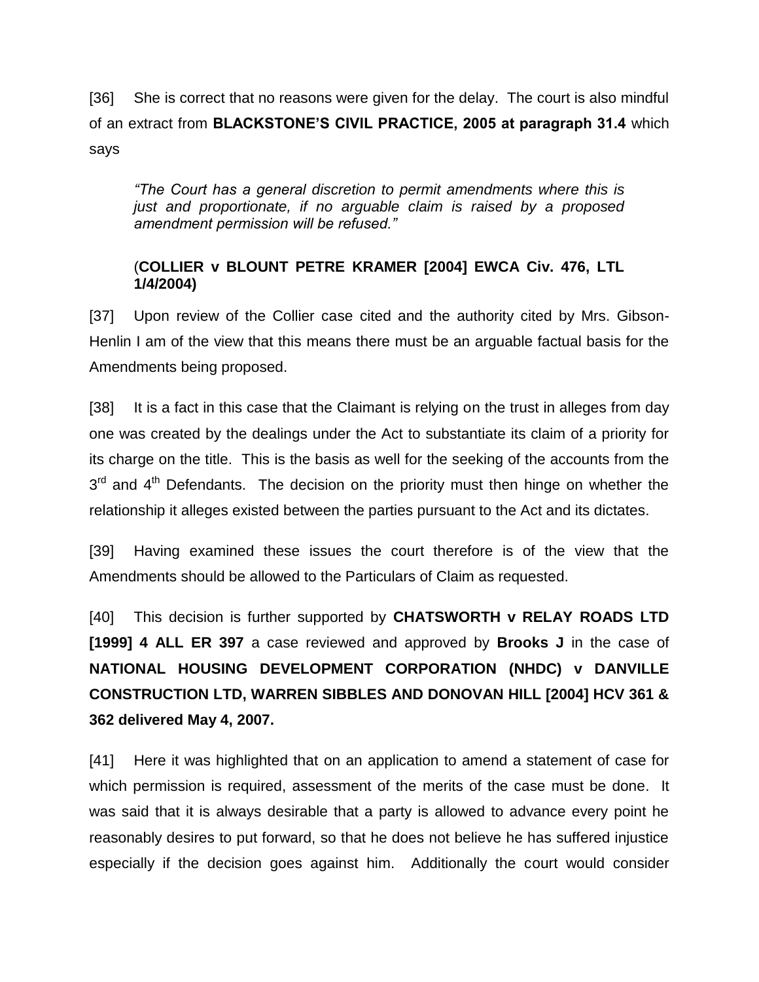[36] She is correct that no reasons were given for the delay. The court is also mindful of an extract from **BLACKSTONE'S CIVIL PRACTICE, 2005 at paragraph 31.4** which says

*"The Court has a general discretion to permit amendments where this is just and proportionate, if no arguable claim is raised by a proposed amendment permission will be refused."*

### (**COLLIER v BLOUNT PETRE KRAMER [2004] EWCA Civ. 476, LTL 1/4/2004)**

[37] Upon review of the Collier case cited and the authority cited by Mrs. Gibson-Henlin I am of the view that this means there must be an arguable factual basis for the Amendments being proposed.

[38] It is a fact in this case that the Claimant is relying on the trust in alleges from day one was created by the dealings under the Act to substantiate its claim of a priority for its charge on the title. This is the basis as well for the seeking of the accounts from the  $3<sup>rd</sup>$  and  $4<sup>th</sup>$  Defendants. The decision on the priority must then hinge on whether the relationship it alleges existed between the parties pursuant to the Act and its dictates.

[39] Having examined these issues the court therefore is of the view that the Amendments should be allowed to the Particulars of Claim as requested.

[40] This decision is further supported by **CHATSWORTH v RELAY ROADS LTD [1999] 4 ALL ER 397** a case reviewed and approved by **Brooks J** in the case of **NATIONAL HOUSING DEVELOPMENT CORPORATION (NHDC) v DANVILLE CONSTRUCTION LTD, WARREN SIBBLES AND DONOVAN HILL [2004] HCV 361 & 362 delivered May 4, 2007.**

[41] Here it was highlighted that on an application to amend a statement of case for which permission is required, assessment of the merits of the case must be done. It was said that it is always desirable that a party is allowed to advance every point he reasonably desires to put forward, so that he does not believe he has suffered injustice especially if the decision goes against him. Additionally the court would consider